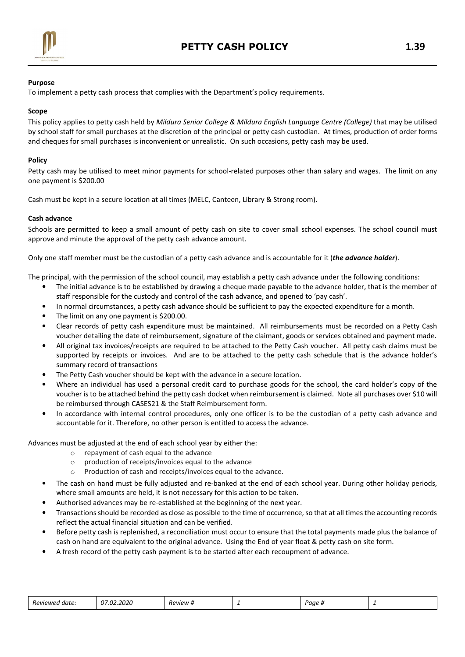

## Purpose

To implement a petty cash process that complies with the Department's policy requirements.

## Scope

This policy applies to petty cash held by Mildura Senior College & Mildura English Language Centre (College) that may be utilised by school staff for small purchases at the discretion of the principal or petty cash custodian. At times, production of order forms and cheques for small purchases is inconvenient or unrealistic. On such occasions, petty cash may be used.

## **Policy**

Petty cash may be utilised to meet minor payments for school-related purposes other than salary and wages. The limit on any one payment is \$200.00

Cash must be kept in a secure location at all times (MELC, Canteen, Library & Strong room).

### Cash advance

Schools are permitted to keep a small amount of petty cash on site to cover small school expenses. The school council must approve and minute the approval of the petty cash advance amount.

Only one staff member must be the custodian of a petty cash advance and is accountable for it (the advance holder).

The principal, with the permission of the school council, may establish a petty cash advance under the following conditions:

- The initial advance is to be established by drawing a cheque made payable to the advance holder, that is the member of staff responsible for the custody and control of the cash advance, and opened to 'pay cash'.
- In normal circumstances, a petty cash advance should be sufficient to pay the expected expenditure for a month.
- The limit on any one payment is \$200.00.
- Clear records of petty cash expenditure must be maintained. All reimbursements must be recorded on a Petty Cash voucher detailing the date of reimbursement, signature of the claimant, goods or services obtained and payment made.
- All original tax invoices/receipts are required to be attached to the Petty Cash voucher. All petty cash claims must be supported by receipts or invoices. And are to be attached to the petty cash schedule that is the advance holder's summary record of transactions
- The Petty Cash voucher should be kept with the advance in a secure location.
- Where an individual has used a personal credit card to purchase goods for the school, the card holder's copy of the voucher is to be attached behind the petty cash docket when reimbursement is claimed. Note all purchases over \$10 will be reimbursed through CASES21 & the Staff Reimbursement form.
- In accordance with internal control procedures, only one officer is to be the custodian of a petty cash advance and accountable for it. Therefore, no other person is entitled to access the advance.

Advances must be adjusted at the end of each school year by either the:

- o repayment of cash equal to the advance
- o production of receipts/invoices equal to the advance
- o Production of cash and receipts/invoices equal to the advance.
- The cash on hand must be fully adjusted and re-banked at the end of each school year. During other holiday periods, where small amounts are held, it is not necessary for this action to be taken.
- Authorised advances may be re-established at the beginning of the next year.
- Transactions should be recorded as close as possible to the time of occurrence, so that at all times the accounting records reflect the actual financial situation and can be verified.
- Before petty cash is replenished, a reconciliation must occur to ensure that the total payments made plus the balance of cash on hand are equivalent to the original advance. Using the End of year float & petty cash on site form.
- A fresh record of the petty cash payment is to be started after each recoupment of advance.

| $\overline{\phantom{0}}$<br><i>Reviewer</i><br>date. | $\sim$ $\sim$<br>2020<br>$\sim$ $\sim$ $\sim$ $\sim$ $\sim$ | .<br>Review<br>- 22 | - | Paae |  |
|------------------------------------------------------|-------------------------------------------------------------|---------------------|---|------|--|
|------------------------------------------------------|-------------------------------------------------------------|---------------------|---|------|--|